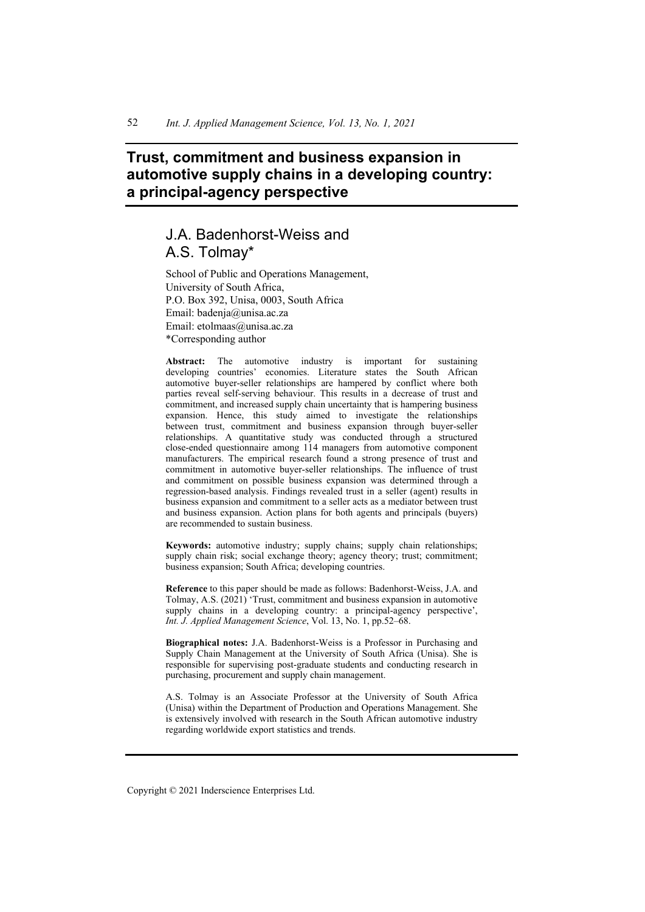# **Trust, commitment and business expansion in automotive supply chains in a developing country: a principal-agency perspective**

# J.A. Badenhorst-Weiss and A.S. Tolmay\*

School of Public and Operations Management, University of South Africa, P.O. Box 392, Unisa, 0003, South Africa Email: badenja@unisa.ac.za Email: etolmaas@unisa.ac.za \*Corresponding author

**Abstract:** The automotive industry is important for sustaining developing countries' economies. Literature states the South African automotive buyer-seller relationships are hampered by conflict where both parties reveal self-serving behaviour. This results in a decrease of trust and commitment, and increased supply chain uncertainty that is hampering business expansion. Hence, this study aimed to investigate the relationships between trust, commitment and business expansion through buyer-seller relationships. A quantitative study was conducted through a structured close-ended questionnaire among 114 managers from automotive component manufacturers. The empirical research found a strong presence of trust and commitment in automotive buyer-seller relationships. The influence of trust and commitment on possible business expansion was determined through a regression-based analysis. Findings revealed trust in a seller (agent) results in business expansion and commitment to a seller acts as a mediator between trust and business expansion. Action plans for both agents and principals (buyers) are recommended to sustain business.

**Keywords:** automotive industry; supply chains; supply chain relationships; supply chain risk; social exchange theory; agency theory; trust; commitment; business expansion; South Africa; developing countries.

**Reference** to this paper should be made as follows: Badenhorst-Weiss, J.A. and Tolmay, A.S. (2021) 'Trust, commitment and business expansion in automotive supply chains in a developing country: a principal-agency perspective', *Int. J. Applied Management Science*, Vol. 13, No. 1, pp.52–68.

**Biographical notes:** J.A. Badenhorst-Weiss is a Professor in Purchasing and Supply Chain Management at the University of South Africa (Unisa). She is responsible for supervising post-graduate students and conducting research in purchasing, procurement and supply chain management.

A.S. Tolmay is an Associate Professor at the University of South Africa (Unisa) within the Department of Production and Operations Management. She is extensively involved with research in the South African automotive industry regarding worldwide export statistics and trends.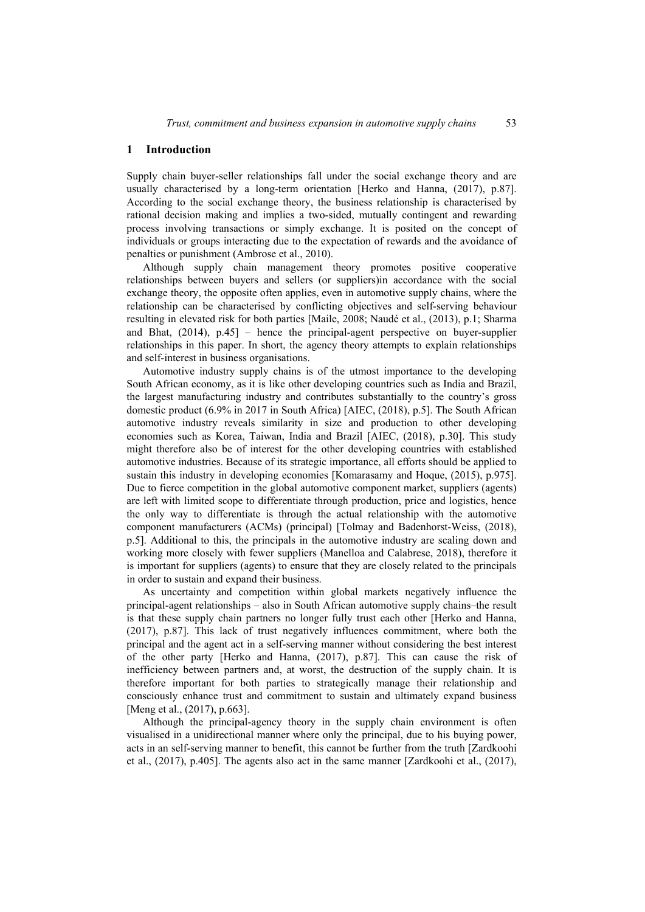#### **1 Introduction**

Supply chain buyer-seller relationships fall under the social exchange theory and are usually characterised by a long-term orientation [Herko and Hanna, (2017), p.87]. According to the social exchange theory, the business relationship is characterised by rational decision making and implies a two-sided, mutually contingent and rewarding process involving transactions or simply exchange. It is posited on the concept of individuals or groups interacting due to the expectation of rewards and the avoidance of penalties or punishment (Ambrose et al., 2010).

Although supply chain management theory promotes positive cooperative relationships between buyers and sellers (or suppliers)in accordance with the social exchange theory, the opposite often applies, even in automotive supply chains, where the relationship can be characterised by conflicting objectives and self-serving behaviour resulting in elevated risk for both parties [Maile, 2008; Naudé et al., (2013), p.1; Sharma and Bhat, (2014), p.45] – hence the principal-agent perspective on buyer-supplier relationships in this paper. In short, the agency theory attempts to explain relationships and self-interest in business organisations.

Automotive industry supply chains is of the utmost importance to the developing South African economy, as it is like other developing countries such as India and Brazil, the largest manufacturing industry and contributes substantially to the country's gross domestic product (6.9% in 2017 in South Africa) [AIEC, (2018), p.5]. The South African automotive industry reveals similarity in size and production to other developing economies such as Korea, Taiwan, India and Brazil [AIEC, (2018), p.30]. This study might therefore also be of interest for the other developing countries with established automotive industries. Because of its strategic importance, all efforts should be applied to sustain this industry in developing economies [Komarasamy and Hoque, (2015), p.975]. Due to fierce competition in the global automotive component market, suppliers (agents) are left with limited scope to differentiate through production, price and logistics, hence the only way to differentiate is through the actual relationship with the automotive component manufacturers (ACMs) (principal) [Tolmay and Badenhorst-Weiss, (2018), p.5]. Additional to this, the principals in the automotive industry are scaling down and working more closely with fewer suppliers (Manelloa and Calabrese, 2018), therefore it is important for suppliers (agents) to ensure that they are closely related to the principals in order to sustain and expand their business.

As uncertainty and competition within global markets negatively influence the principal-agent relationships – also in South African automotive supply chains–the result is that these supply chain partners no longer fully trust each other [Herko and Hanna, (2017), p.87]. This lack of trust negatively influences commitment, where both the principal and the agent act in a self-serving manner without considering the best interest of the other party [Herko and Hanna, (2017), p.87]. This can cause the risk of inefficiency between partners and, at worst, the destruction of the supply chain. It is therefore important for both parties to strategically manage their relationship and consciously enhance trust and commitment to sustain and ultimately expand business [Meng et al., (2017), p.663].

Although the principal-agency theory in the supply chain environment is often visualised in a unidirectional manner where only the principal, due to his buying power, acts in an self-serving manner to benefit, this cannot be further from the truth [Zardkoohi et al., (2017), p.405]. The agents also act in the same manner [Zardkoohi et al., (2017),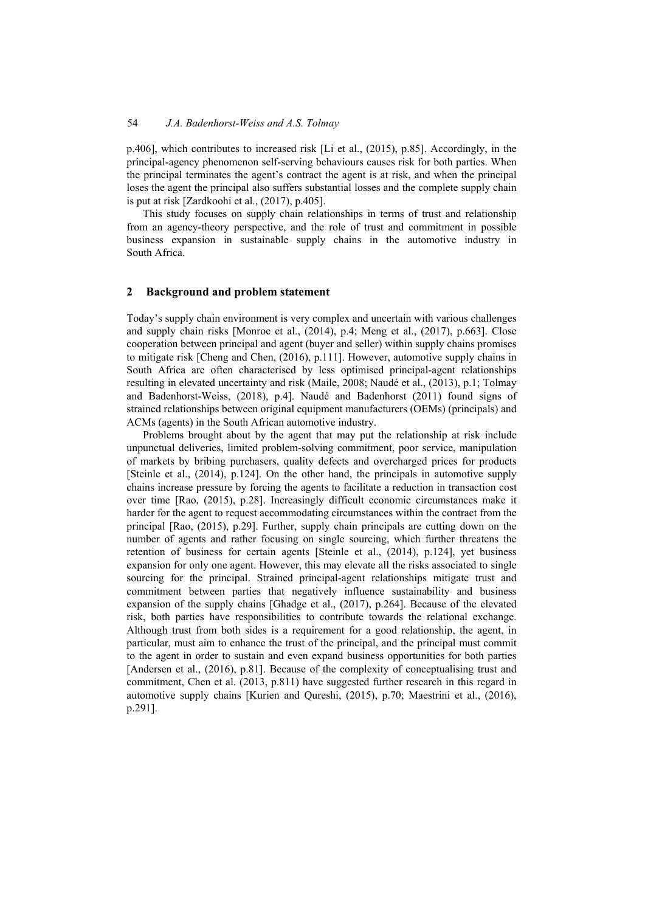p.406], which contributes to increased risk [Li et al., (2015), p.85]. Accordingly, in the principal-agency phenomenon self-serving behaviours causes risk for both parties. When the principal terminates the agent's contract the agent is at risk, and when the principal loses the agent the principal also suffers substantial losses and the complete supply chain is put at risk [Zardkoohi et al., (2017), p.405].

This study focuses on supply chain relationships in terms of trust and relationship from an agency-theory perspective, and the role of trust and commitment in possible business expansion in sustainable supply chains in the automotive industry in South Africa.

## **2 Background and problem statement**

Today's supply chain environment is very complex and uncertain with various challenges and supply chain risks [Monroe et al., (2014), p.4; Meng et al., (2017), p.663]. Close cooperation between principal and agent (buyer and seller) within supply chains promises to mitigate risk [Cheng and Chen, (2016), p.111]. However, automotive supply chains in South Africa are often characterised by less optimised principal-agent relationships resulting in elevated uncertainty and risk (Maile, 2008; Naudé et al., (2013), p.1; Tolmay and Badenhorst-Weiss, (2018), p.4]. Naudé and Badenhorst (2011) found signs of strained relationships between original equipment manufacturers (OEMs) (principals) and ACMs (agents) in the South African automotive industry.

Problems brought about by the agent that may put the relationship at risk include unpunctual deliveries, limited problem-solving commitment, poor service, manipulation of markets by bribing purchasers, quality defects and overcharged prices for products [Steinle et al., (2014), p.124]. On the other hand, the principals in automotive supply chains increase pressure by forcing the agents to facilitate a reduction in transaction cost over time [Rao, (2015), p.28]. Increasingly difficult economic circumstances make it harder for the agent to request accommodating circumstances within the contract from the principal [Rao, (2015), p.29]. Further, supply chain principals are cutting down on the number of agents and rather focusing on single sourcing, which further threatens the retention of business for certain agents [Steinle et al., (2014), p.124], yet business expansion for only one agent. However, this may elevate all the risks associated to single sourcing for the principal. Strained principal-agent relationships mitigate trust and commitment between parties that negatively influence sustainability and business expansion of the supply chains [Ghadge et al., (2017), p.264]. Because of the elevated risk, both parties have responsibilities to contribute towards the relational exchange. Although trust from both sides is a requirement for a good relationship, the agent, in particular, must aim to enhance the trust of the principal, and the principal must commit to the agent in order to sustain and even expand business opportunities for both parties [Andersen et al., (2016), p.81]. Because of the complexity of conceptualising trust and commitment, Chen et al. (2013, p.811) have suggested further research in this regard in automotive supply chains [Kurien and Qureshi, (2015), p.70; Maestrini et al., (2016), p.291].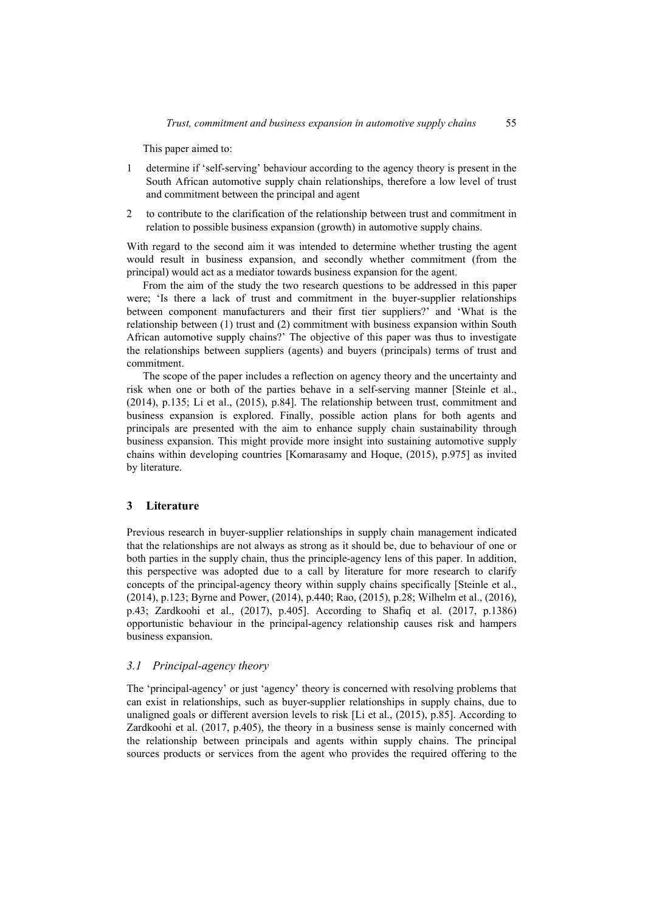This paper aimed to:

- 1 determine if 'self-serving' behaviour according to the agency theory is present in the South African automotive supply chain relationships, therefore a low level of trust and commitment between the principal and agent
- 2 to contribute to the clarification of the relationship between trust and commitment in relation to possible business expansion (growth) in automotive supply chains.

With regard to the second aim it was intended to determine whether trusting the agent would result in business expansion, and secondly whether commitment (from the principal) would act as a mediator towards business expansion for the agent.

From the aim of the study the two research questions to be addressed in this paper were; 'Is there a lack of trust and commitment in the buyer-supplier relationships between component manufacturers and their first tier suppliers?' and 'What is the relationship between (1) trust and (2) commitment with business expansion within South African automotive supply chains?' The objective of this paper was thus to investigate the relationships between suppliers (agents) and buyers (principals) terms of trust and commitment.

The scope of the paper includes a reflection on agency theory and the uncertainty and risk when one or both of the parties behave in a self-serving manner [Steinle et al., (2014), p.135; Li et al., (2015), p.84]. The relationship between trust, commitment and business expansion is explored. Finally, possible action plans for both agents and principals are presented with the aim to enhance supply chain sustainability through business expansion. This might provide more insight into sustaining automotive supply chains within developing countries [Komarasamy and Hoque, (2015), p.975] as invited by literature.

### **3 Literature**

Previous research in buyer-supplier relationships in supply chain management indicated that the relationships are not always as strong as it should be, due to behaviour of one or both parties in the supply chain, thus the principle-agency lens of this paper. In addition, this perspective was adopted due to a call by literature for more research to clarify concepts of the principal-agency theory within supply chains specifically [Steinle et al., (2014), p.123; Byrne and Power, (2014), p.440; Rao, (2015), p.28; Wilhelm et al., (2016), p.43; Zardkoohi et al., (2017), p.405]. According to Shafiq et al. (2017, p.1386) opportunistic behaviour in the principal-agency relationship causes risk and hampers business expansion.

#### *3.1 Principal-agency theory*

The 'principal-agency' or just 'agency' theory is concerned with resolving problems that can exist in relationships, such as buyer-supplier relationships in supply chains, due to unaligned goals or different aversion levels to risk [Li et al., (2015), p.85]. According to Zardkoohi et al. (2017, p.405), the theory in a business sense is mainly concerned with the relationship between principals and agents within supply chains. The principal sources products or services from the agent who provides the required offering to the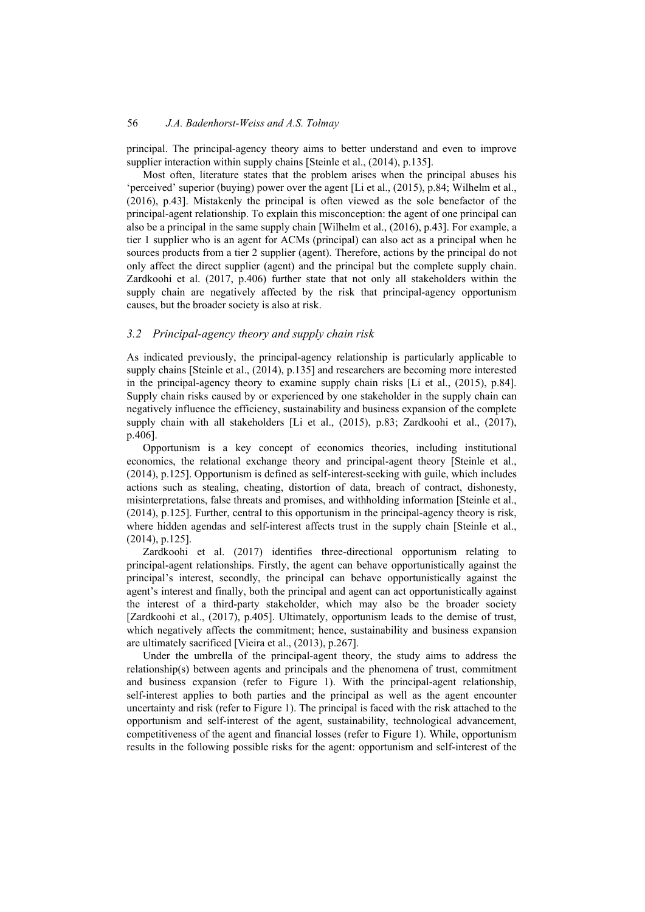principal. The principal-agency theory aims to better understand and even to improve supplier interaction within supply chains [Steinle et al., (2014), p.135].

Most often, literature states that the problem arises when the principal abuses his 'perceived' superior (buying) power over the agent [Li et al., (2015), p.84; Wilhelm et al., (2016), p.43]. Mistakenly the principal is often viewed as the sole benefactor of the principal-agent relationship. To explain this misconception: the agent of one principal can also be a principal in the same supply chain [Wilhelm et al., (2016), p.43]. For example, a tier 1 supplier who is an agent for ACMs (principal) can also act as a principal when he sources products from a tier 2 supplier (agent). Therefore, actions by the principal do not only affect the direct supplier (agent) and the principal but the complete supply chain. Zardkoohi et al. (2017, p.406) further state that not only all stakeholders within the supply chain are negatively affected by the risk that principal-agency opportunism causes, but the broader society is also at risk.

#### *3.2 Principal-agency theory and supply chain risk*

As indicated previously, the principal-agency relationship is particularly applicable to supply chains [Steinle et al., (2014), p.135] and researchers are becoming more interested in the principal-agency theory to examine supply chain risks [Li et al., (2015), p.84]. Supply chain risks caused by or experienced by one stakeholder in the supply chain can negatively influence the efficiency, sustainability and business expansion of the complete supply chain with all stakeholders [Li et al., (2015), p.83; Zardkoohi et al., (2017), p.406].

Opportunism is a key concept of economics theories, including institutional economics, the relational exchange theory and principal-agent theory [Steinle et al., (2014), p.125]. Opportunism is defined as self-interest-seeking with guile, which includes actions such as stealing, cheating, distortion of data, breach of contract, dishonesty, misinterpretations, false threats and promises, and withholding information [Steinle et al., (2014), p.125]. Further, central to this opportunism in the principal-agency theory is risk, where hidden agendas and self-interest affects trust in the supply chain [Steinle et al., (2014), p.125].

Zardkoohi et al. (2017) identifies three-directional opportunism relating to principal-agent relationships. Firstly, the agent can behave opportunistically against the principal's interest, secondly, the principal can behave opportunistically against the agent's interest and finally, both the principal and agent can act opportunistically against the interest of a third-party stakeholder, which may also be the broader society [Zardkoohi et al., (2017), p.405]. Ultimately, opportunism leads to the demise of trust, which negatively affects the commitment; hence, sustainability and business expansion are ultimately sacrificed [Vieira et al., (2013), p.267].

Under the umbrella of the principal-agent theory, the study aims to address the relationship(s) between agents and principals and the phenomena of trust, commitment and business expansion (refer to Figure 1). With the principal-agent relationship, self-interest applies to both parties and the principal as well as the agent encounter uncertainty and risk (refer to Figure 1). The principal is faced with the risk attached to the opportunism and self-interest of the agent, sustainability, technological advancement, competitiveness of the agent and financial losses (refer to Figure 1). While, opportunism results in the following possible risks for the agent: opportunism and self-interest of the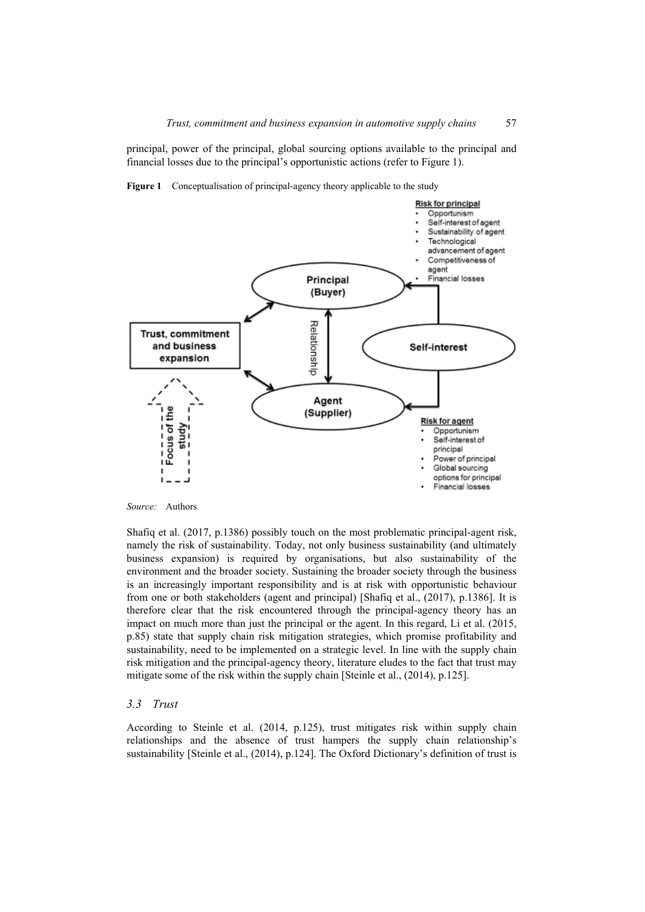principal, power of the principal, global sourcing options available to the principal and financial losses due to the principal's opportunistic actions (refer to Figure 1).





Shafiq et al. (2017, p.1386) possibly touch on the most problematic principal-agent risk, namely the risk of sustainability. Today, not only business sustainability (and ultimately business expansion) is required by organisations, but also sustainability of the environment and the broader society. Sustaining the broader society through the business is an increasingly important responsibility and is at risk with opportunistic behaviour from one or both stakeholders (agent and principal) [Shafiq et al., (2017), p.1386]. It is therefore clear that the risk encountered through the principal-agency theory has an impact on much more than just the principal or the agent. In this regard, Li et al. (2015, p.85) state that supply chain risk mitigation strategies, which promise profitability and sustainability, need to be implemented on a strategic level. In line with the supply chain risk mitigation and the principal-agency theory, literature eludes to the fact that trust may mitigate some of the risk within the supply chain [Steinle et al., (2014), p.125].

#### *3.3 Trust*

According to Steinle et al. (2014, p.125), trust mitigates risk within supply chain relationships and the absence of trust hampers the supply chain relationship's sustainability [Steinle et al., (2014), p.124]. The Oxford Dictionary's definition of trust is

*Source:* Authors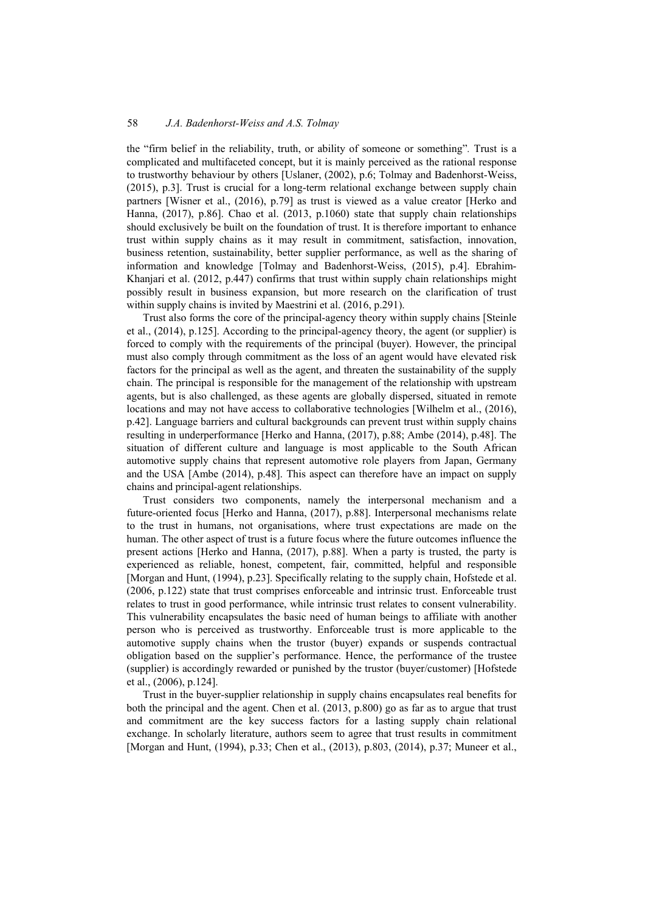the "firm belief in the reliability, truth, or ability of someone or something"*.* Trust is a complicated and multifaceted concept, but it is mainly perceived as the rational response to trustworthy behaviour by others [Uslaner, (2002), p.6; Tolmay and Badenhorst-Weiss, (2015), p.3]. Trust is crucial for a long-term relational exchange between supply chain partners [Wisner et al., (2016), p.79] as trust is viewed as a value creator [Herko and Hanna, (2017), p.86]. Chao et al. (2013, p.1060) state that supply chain relationships should exclusively be built on the foundation of trust. It is therefore important to enhance trust within supply chains as it may result in commitment, satisfaction, innovation, business retention, sustainability, better supplier performance, as well as the sharing of information and knowledge [Tolmay and Badenhorst-Weiss, (2015), p.4]. Ebrahim-Khanjari et al. (2012, p.447) confirms that trust within supply chain relationships might possibly result in business expansion, but more research on the clarification of trust within supply chains is invited by Maestrini et al. (2016, p.291).

Trust also forms the core of the principal-agency theory within supply chains [Steinle et al., (2014), p.125]. According to the principal-agency theory, the agent (or supplier) is forced to comply with the requirements of the principal (buyer). However, the principal must also comply through commitment as the loss of an agent would have elevated risk factors for the principal as well as the agent, and threaten the sustainability of the supply chain. The principal is responsible for the management of the relationship with upstream agents, but is also challenged, as these agents are globally dispersed, situated in remote locations and may not have access to collaborative technologies [Wilhelm et al., (2016), p.42]. Language barriers and cultural backgrounds can prevent trust within supply chains resulting in underperformance [Herko and Hanna, (2017), p.88; Ambe (2014), p.48]. The situation of different culture and language is most applicable to the South African automotive supply chains that represent automotive role players from Japan, Germany and the USA [Ambe (2014), p.48]. This aspect can therefore have an impact on supply chains and principal-agent relationships.

Trust considers two components, namely the interpersonal mechanism and a future-oriented focus [Herko and Hanna, (2017), p.88]. Interpersonal mechanisms relate to the trust in humans, not organisations, where trust expectations are made on the human. The other aspect of trust is a future focus where the future outcomes influence the present actions [Herko and Hanna, (2017), p.88]. When a party is trusted, the party is experienced as reliable, honest, competent, fair, committed, helpful and responsible [Morgan and Hunt, (1994), p.23]. Specifically relating to the supply chain, Hofstede et al. (2006, p.122) state that trust comprises enforceable and intrinsic trust. Enforceable trust relates to trust in good performance, while intrinsic trust relates to consent vulnerability. This vulnerability encapsulates the basic need of human beings to affiliate with another person who is perceived as trustworthy. Enforceable trust is more applicable to the automotive supply chains when the trustor (buyer) expands or suspends contractual obligation based on the supplier's performance. Hence, the performance of the trustee (supplier) is accordingly rewarded or punished by the trustor (buyer/customer) [Hofstede et al., (2006), p.124].

Trust in the buyer-supplier relationship in supply chains encapsulates real benefits for both the principal and the agent. Chen et al. (2013, p.800) go as far as to argue that trust and commitment are the key success factors for a lasting supply chain relational exchange. In scholarly literature, authors seem to agree that trust results in commitment [Morgan and Hunt, (1994), p.33; Chen et al., (2013), p.803, (2014), p.37; Muneer et al.,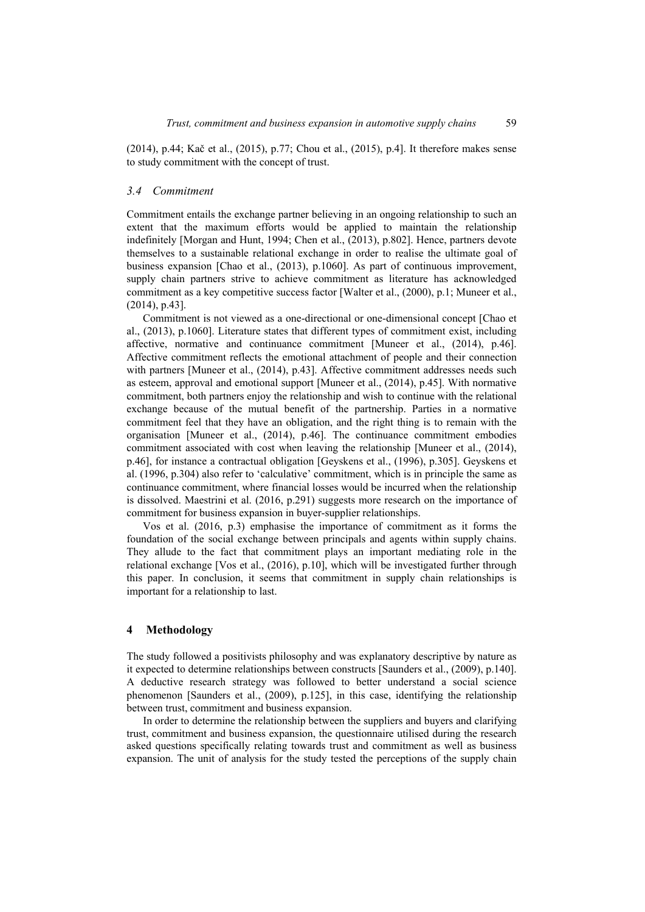(2014), p.44; Kač et al., (2015), p.77; Chou et al., (2015), p.4]. It therefore makes sense to study commitment with the concept of trust.

#### *3.4 Commitment*

Commitment entails the exchange partner believing in an ongoing relationship to such an extent that the maximum efforts would be applied to maintain the relationship indefinitely [Morgan and Hunt, 1994; Chen et al., (2013), p.802]. Hence, partners devote themselves to a sustainable relational exchange in order to realise the ultimate goal of business expansion [Chao et al., (2013), p.1060]. As part of continuous improvement, supply chain partners strive to achieve commitment as literature has acknowledged commitment as a key competitive success factor [Walter et al., (2000), p.1; Muneer et al., (2014), p.43].

Commitment is not viewed as a one-directional or one-dimensional concept [Chao et al., (2013), p.1060]. Literature states that different types of commitment exist, including affective, normative and continuance commitment [Muneer et al., (2014), p.46]. Affective commitment reflects the emotional attachment of people and their connection with partners [Muneer et al., (2014), p.43]. Affective commitment addresses needs such as esteem, approval and emotional support [Muneer et al., (2014), p.45]. With normative commitment, both partners enjoy the relationship and wish to continue with the relational exchange because of the mutual benefit of the partnership. Parties in a normative commitment feel that they have an obligation, and the right thing is to remain with the organisation [Muneer et al., (2014), p.46]. The continuance commitment embodies commitment associated with cost when leaving the relationship [Muneer et al., (2014), p.46], for instance a contractual obligation [Geyskens et al., (1996), p.305]. Geyskens et al. (1996, p.304) also refer to 'calculative' commitment, which is in principle the same as continuance commitment, where financial losses would be incurred when the relationship is dissolved. Maestrini et al. (2016, p.291) suggests more research on the importance of commitment for business expansion in buyer-supplier relationships.

Vos et al. (2016, p.3) emphasise the importance of commitment as it forms the foundation of the social exchange between principals and agents within supply chains. They allude to the fact that commitment plays an important mediating role in the relational exchange [Vos et al., (2016), p.10], which will be investigated further through this paper. In conclusion, it seems that commitment in supply chain relationships is important for a relationship to last.

#### **4 Methodology**

The study followed a positivists philosophy and was explanatory descriptive by nature as it expected to determine relationships between constructs [Saunders et al., (2009), p.140]. A deductive research strategy was followed to better understand a social science phenomenon [Saunders et al., (2009), p.125], in this case, identifying the relationship between trust, commitment and business expansion.

In order to determine the relationship between the suppliers and buyers and clarifying trust, commitment and business expansion, the questionnaire utilised during the research asked questions specifically relating towards trust and commitment as well as business expansion. The unit of analysis for the study tested the perceptions of the supply chain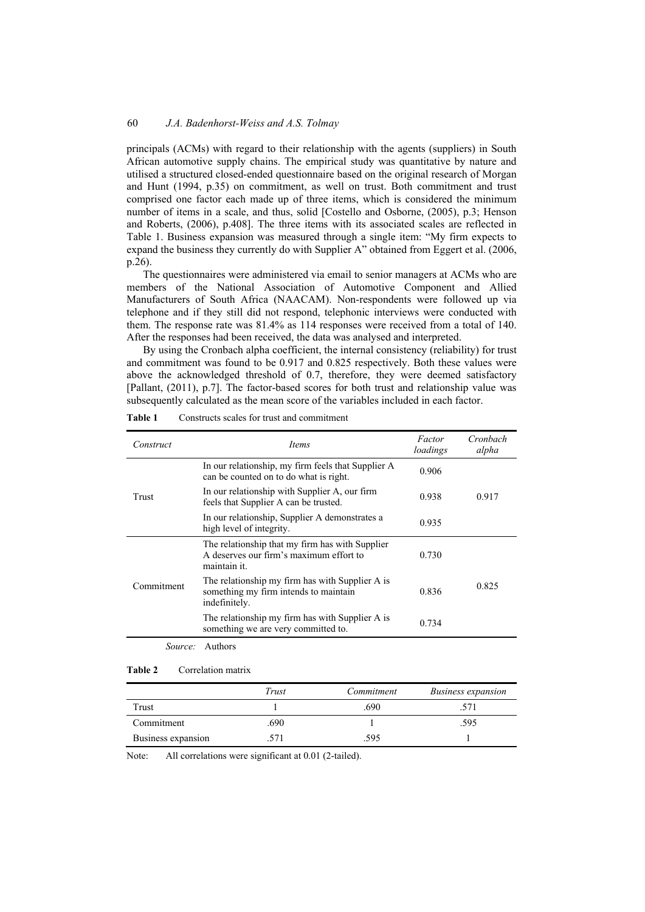principals (ACMs) with regard to their relationship with the agents (suppliers) in South African automotive supply chains. The empirical study was quantitative by nature and utilised a structured closed-ended questionnaire based on the original research of Morgan and Hunt (1994, p.35) on commitment, as well on trust. Both commitment and trust comprised one factor each made up of three items, which is considered the minimum number of items in a scale, and thus, solid [Costello and Osborne, (2005), p.3; Henson and Roberts, (2006), p.408]. The three items with its associated scales are reflected in Table 1. Business expansion was measured through a single item: "My firm expects to expand the business they currently do with Supplier A" obtained from Eggert et al. (2006, p.26).

The questionnaires were administered via email to senior managers at ACMs who are members of the National Association of Automotive Component and Allied Manufacturers of South Africa (NAACAM). Non-respondents were followed up via telephone and if they still did not respond, telephonic interviews were conducted with them. The response rate was 81.4% as 114 responses were received from a total of 140. After the responses had been received, the data was analysed and interpreted.

By using the Cronbach alpha coefficient, the internal consistency (reliability) for trust and commitment was found to be 0.917 and 0.825 respectively. Both these values were above the acknowledged threshold of 0.7, therefore, they were deemed satisfactory [Pallant, (2011), p.7]. The factor-based scores for both trust and relationship value was subsequently calculated as the mean score of the variables included in each factor.

| Construct   | Items                                                                                                      | Factor<br>loadings | Cronbach<br>alpha |  |
|-------------|------------------------------------------------------------------------------------------------------------|--------------------|-------------------|--|
| Trust       | In our relationship, my firm feels that Supplier A<br>0.906<br>can be counted on to do what is right.      |                    |                   |  |
|             | In our relationship with Supplier A, our firm<br>feels that Supplier A can be trusted.                     | 0.938              | 0.917             |  |
|             | In our relationship, Supplier A demonstrates a<br>high level of integrity.                                 | 0.935              |                   |  |
| Commitment  | The relationship that my firm has with Supplier<br>A deserves our firm's maximum effort to<br>maintain it. | 0.730              |                   |  |
|             | The relationship my firm has with Supplier A is<br>something my firm intends to maintain<br>indefinitely.  | 0.836              | 0.825             |  |
|             | The relationship my firm has with Supplier A is<br>something we are very committed to.                     | 0.734              |                   |  |
| $S_{OIPCO}$ | Authore                                                                                                    |                    |                   |  |

**Table 1** Constructs scales for trust and commitment

*Source:* Authors

#### **Table 2** Correlation matrix

|                    | Trust | Commitment | <b>Business expansion</b> |
|--------------------|-------|------------|---------------------------|
| Trust              |       | .690       |                           |
| Commitment         | .690  |            | .595                      |
| Business expansion | .571  | .595       |                           |

Note: All correlations were significant at 0.01 (2-tailed).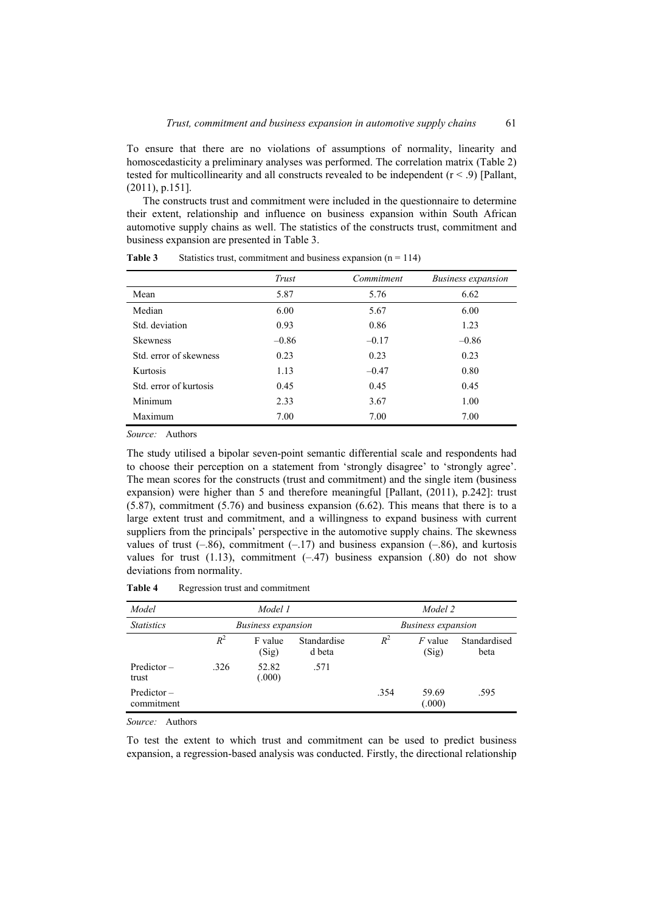To ensure that there are no violations of assumptions of normality, linearity and homoscedasticity a preliminary analyses was performed. The correlation matrix (Table 2) tested for multicollinearity and all constructs revealed to be independent  $(r < .9)$  [Pallant, (2011), p.151].

The constructs trust and commitment were included in the questionnaire to determine their extent, relationship and influence on business expansion within South African automotive supply chains as well. The statistics of the constructs trust, commitment and business expansion are presented in Table 3.

|                        | Trust   | Commitment | <b>Business expansion</b> |
|------------------------|---------|------------|---------------------------|
| Mean                   | 5.87    | 5.76       | 6.62                      |
| Median                 | 6.00    | 5.67       | 6.00                      |
| Std. deviation         | 0.93    | 0.86       | 1.23                      |
| <b>Skewness</b>        | $-0.86$ | $-0.17$    | $-0.86$                   |
| Std. error of skewness | 0.23    | 0.23       | 0.23                      |
| Kurtosis               | 1.13    | $-0.47$    | 0.80                      |
| Std. error of kurtosis | 0.45    | 0.45       | 0.45                      |
| Minimum                | 2.33    | 3.67       | 1.00                      |
| Maximum                | 7.00    | 7.00       | 7.00                      |

**Table 3** Statistics trust, commitment and business expansion  $(n = 114)$ 

*Source:* Authors

The study utilised a bipolar seven-point semantic differential scale and respondents had to choose their perception on a statement from 'strongly disagree' to 'strongly agree'. The mean scores for the constructs (trust and commitment) and the single item (business expansion) were higher than 5 and therefore meaningful [Pallant, (2011), p.242]: trust (5.87), commitment (5.76) and business expansion (6.62). This means that there is to a large extent trust and commitment, and a willingness to expand business with current suppliers from the principals' perspective in the automotive supply chains. The skewness values of trust  $(-.86)$ , commitment  $(-.17)$  and business expansion  $(-.86)$ , and kurtosis values for trust  $(1.13)$ , commitment  $(-.47)$  business expansion  $(.80)$  do not show deviations from normality.

| Model                       |                           | Model 1          |                           |       | Model 2            |                      |
|-----------------------------|---------------------------|------------------|---------------------------|-------|--------------------|----------------------|
| <b>Statistics</b>           | <i>Business expansion</i> |                  | <b>Business expansion</b> |       |                    |                      |
|                             | $R^2$                     | F value<br>(Sig) | Standardise<br>d beta     | $R^2$ | $F$ value<br>(Sig) | Standardised<br>beta |
| $Predictor -$<br>trust      | .326                      | 52.82<br>(.000)  | .571                      |       |                    |                      |
| $Predictor -$<br>commitment |                           |                  |                           | .354  | 59.69<br>(.000)    | .595                 |

**Table 4** Regression trust and commitment

*Source:* Authors

To test the extent to which trust and commitment can be used to predict business expansion, a regression-based analysis was conducted. Firstly, the directional relationship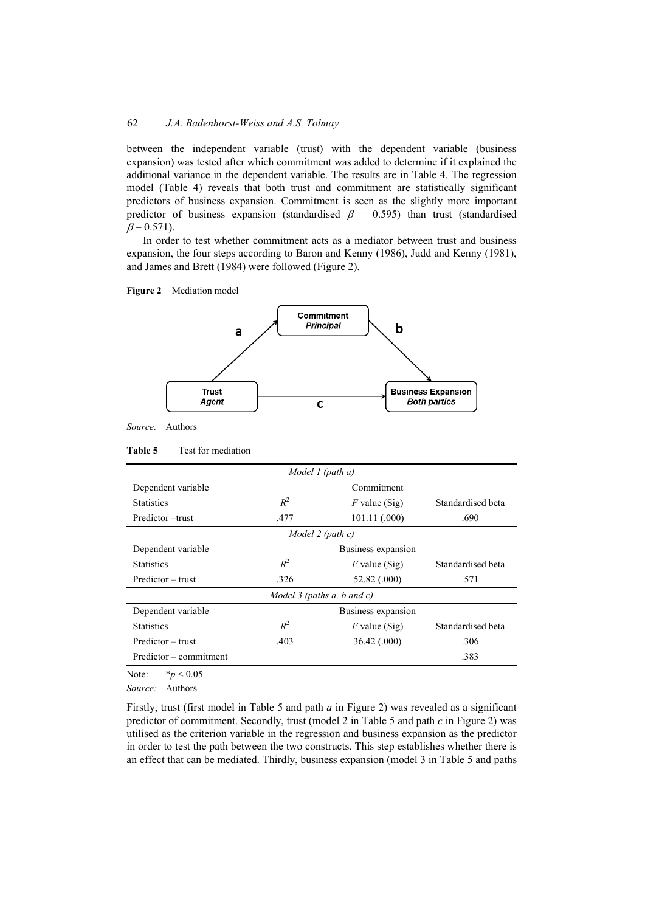between the independent variable (trust) with the dependent variable (business expansion) was tested after which commitment was added to determine if it explained the additional variance in the dependent variable. The results are in Table 4. The regression model (Table 4) reveals that both trust and commitment are statistically significant predictors of business expansion. Commitment is seen as the slightly more important predictor of business expansion (standardised  $\beta = 0.595$ ) than trust (standardised  $\beta = 0.571$ ).

In order to test whether commitment acts as a mediator between trust and business expansion, the four steps according to Baron and Kenny (1986), Judd and Kenny (1981), and James and Brett (1984) were followed (Figure 2).





*Source:* Authors

| Model 1 (path $a$ )             |                       |                 |                   |  |  |
|---------------------------------|-----------------------|-----------------|-------------------|--|--|
| Dependent variable              |                       | Commitment      |                   |  |  |
| <b>Statistics</b>               | $R^2$                 | $F$ value (Sig) | Standardised beta |  |  |
| Predictor – trust               | 101.11 (.000)<br>.477 |                 | .690              |  |  |
| Model 2 (path c)                |                       |                 |                   |  |  |
| Dependent variable              | Business expansion    |                 |                   |  |  |
| <b>Statistics</b>               | $R^2$                 | $F$ value (Sig) | Standardised beta |  |  |
| Predictor – trust               | .326                  | 52.82 (.000)    | .571              |  |  |
| Model 3 (paths $a, b$ and $c$ ) |                       |                 |                   |  |  |
| Dependent variable              | Business expansion    |                 |                   |  |  |
| $R^2$<br><b>Statistics</b>      |                       | $F$ value (Sig) | Standardised beta |  |  |
| Predictor – trust               | .403                  |                 | .306              |  |  |
| Predictor – commitment          |                       |                 | .383              |  |  |

Note: \**p* < 0.05

*Source:* Authors

Firstly, trust (first model in Table 5 and path *a* in Figure 2) was revealed as a significant predictor of commitment. Secondly, trust (model 2 in Table 5 and path *c* in Figure 2) was utilised as the criterion variable in the regression and business expansion as the predictor in order to test the path between the two constructs. This step establishes whether there is an effect that can be mediated. Thirdly, business expansion (model 3 in Table 5 and paths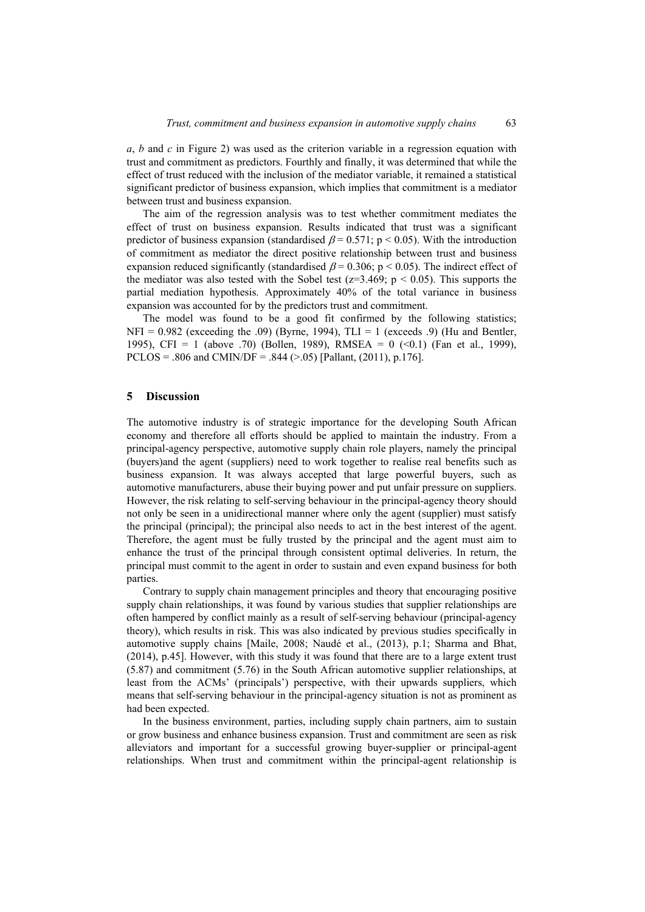*a*, *b* and *c* in Figure 2) was used as the criterion variable in a regression equation with trust and commitment as predictors. Fourthly and finally, it was determined that while the effect of trust reduced with the inclusion of the mediator variable, it remained a statistical significant predictor of business expansion, which implies that commitment is a mediator between trust and business expansion.

The aim of the regression analysis was to test whether commitment mediates the effect of trust on business expansion. Results indicated that trust was a significant predictor of business expansion (standardised  $\beta$  = 0.571; p < 0.05). With the introduction of commitment as mediator the direct positive relationship between trust and business expansion reduced significantly (standardised  $\beta$  = 0.306; p < 0.05). The indirect effect of the mediator was also tested with the Sobel test ( $z=3.469$ ;  $p < 0.05$ ). This supports the partial mediation hypothesis. Approximately 40% of the total variance in business expansion was accounted for by the predictors trust and commitment.

The model was found to be a good fit confirmed by the following statistics;  $NFI = 0.982$  (exceeding the .09) (Byrne, 1994), TLI = 1 (exceeds .9) (Hu and Bentler, 1995), CFI = 1 (above .70) (Bollen, 1989), RMSEA = 0  $(0.1)$  (Fan et al., 1999), PCLOS = .806 and CMIN/DF = .844 ( $> 0.05$ ) [Pallant, (2011), p.176].

#### **5 Discussion**

The automotive industry is of strategic importance for the developing South African economy and therefore all efforts should be applied to maintain the industry. From a principal-agency perspective, automotive supply chain role players, namely the principal (buyers)and the agent (suppliers) need to work together to realise real benefits such as business expansion. It was always accepted that large powerful buyers, such as automotive manufacturers, abuse their buying power and put unfair pressure on suppliers. However, the risk relating to self-serving behaviour in the principal-agency theory should not only be seen in a unidirectional manner where only the agent (supplier) must satisfy the principal (principal); the principal also needs to act in the best interest of the agent. Therefore, the agent must be fully trusted by the principal and the agent must aim to enhance the trust of the principal through consistent optimal deliveries. In return, the principal must commit to the agent in order to sustain and even expand business for both parties.

Contrary to supply chain management principles and theory that encouraging positive supply chain relationships, it was found by various studies that supplier relationships are often hampered by conflict mainly as a result of self-serving behaviour (principal-agency theory), which results in risk. This was also indicated by previous studies specifically in automotive supply chains [Maile, 2008; Naudé et al., (2013), p.1; Sharma and Bhat, (2014), p.45]. However, with this study it was found that there are to a large extent trust (5.87) and commitment (5.76) in the South African automotive supplier relationships, at least from the ACMs' (principals') perspective, with their upwards suppliers, which means that self-serving behaviour in the principal-agency situation is not as prominent as had been expected.

In the business environment, parties, including supply chain partners, aim to sustain or grow business and enhance business expansion. Trust and commitment are seen as risk alleviators and important for a successful growing buyer-supplier or principal-agent relationships. When trust and commitment within the principal-agent relationship is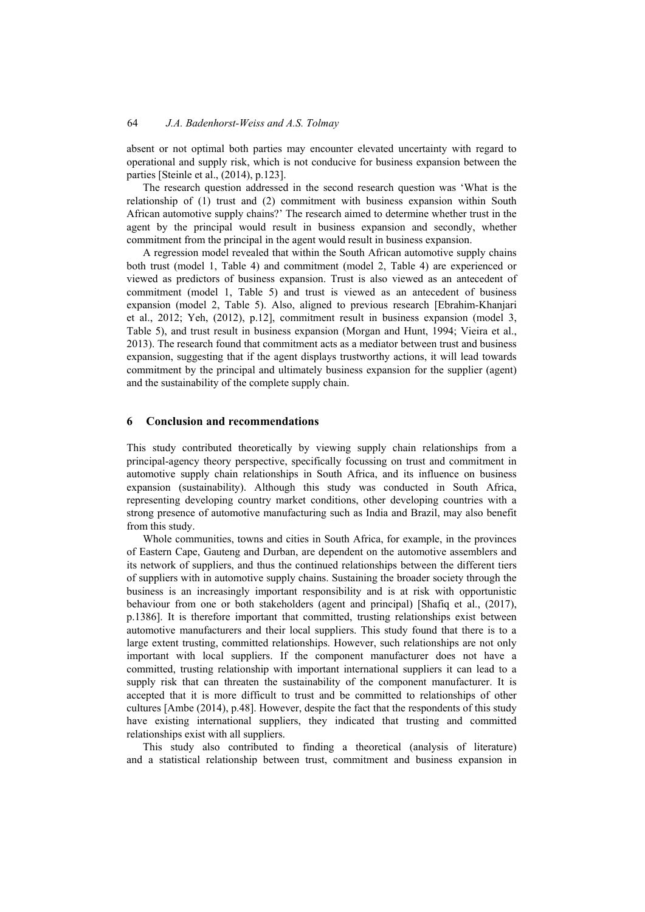absent or not optimal both parties may encounter elevated uncertainty with regard to operational and supply risk, which is not conducive for business expansion between the parties [Steinle et al., (2014), p.123].

The research question addressed in the second research question was 'What is the relationship of (1) trust and (2) commitment with business expansion within South African automotive supply chains?' The research aimed to determine whether trust in the agent by the principal would result in business expansion and secondly, whether commitment from the principal in the agent would result in business expansion.

A regression model revealed that within the South African automotive supply chains both trust (model 1, Table 4) and commitment (model 2, Table 4) are experienced or viewed as predictors of business expansion. Trust is also viewed as an antecedent of commitment (model 1, Table 5) and trust is viewed as an antecedent of business expansion (model 2, Table 5). Also, aligned to previous research [Ebrahim-Khanjari et al., 2012; Yeh, (2012), p.12], commitment result in business expansion (model 3, Table 5), and trust result in business expansion (Morgan and Hunt, 1994; Vieira et al., 2013). The research found that commitment acts as a mediator between trust and business expansion, suggesting that if the agent displays trustworthy actions, it will lead towards commitment by the principal and ultimately business expansion for the supplier (agent) and the sustainability of the complete supply chain.

## **6 Conclusion and recommendations**

This study contributed theoretically by viewing supply chain relationships from a principal-agency theory perspective, specifically focussing on trust and commitment in automotive supply chain relationships in South Africa, and its influence on business expansion (sustainability). Although this study was conducted in South Africa, representing developing country market conditions, other developing countries with a strong presence of automotive manufacturing such as India and Brazil, may also benefit from this study.

Whole communities, towns and cities in South Africa, for example, in the provinces of Eastern Cape, Gauteng and Durban, are dependent on the automotive assemblers and its network of suppliers, and thus the continued relationships between the different tiers of suppliers with in automotive supply chains. Sustaining the broader society through the business is an increasingly important responsibility and is at risk with opportunistic behaviour from one or both stakeholders (agent and principal) [Shafiq et al., (2017), p.1386]. It is therefore important that committed, trusting relationships exist between automotive manufacturers and their local suppliers. This study found that there is to a large extent trusting, committed relationships. However, such relationships are not only important with local suppliers. If the component manufacturer does not have a committed, trusting relationship with important international suppliers it can lead to a supply risk that can threaten the sustainability of the component manufacturer. It is accepted that it is more difficult to trust and be committed to relationships of other cultures [Ambe (2014), p.48]. However, despite the fact that the respondents of this study have existing international suppliers, they indicated that trusting and committed relationships exist with all suppliers.

This study also contributed to finding a theoretical (analysis of literature) and a statistical relationship between trust, commitment and business expansion in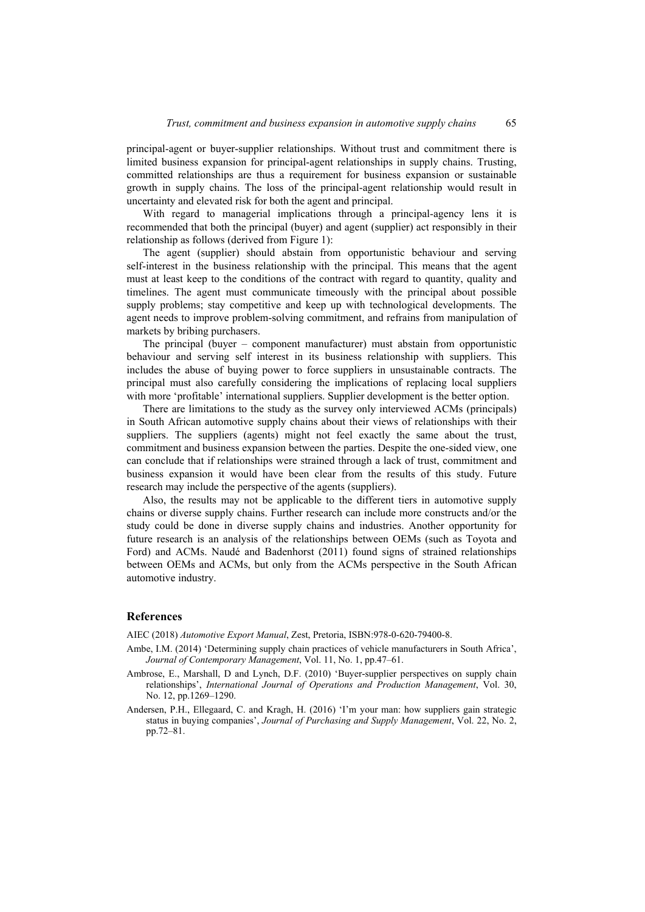principal-agent or buyer-supplier relationships. Without trust and commitment there is limited business expansion for principal-agent relationships in supply chains. Trusting, committed relationships are thus a requirement for business expansion or sustainable growth in supply chains. The loss of the principal-agent relationship would result in uncertainty and elevated risk for both the agent and principal.

With regard to managerial implications through a principal-agency lens it is recommended that both the principal (buyer) and agent (supplier) act responsibly in their relationship as follows (derived from Figure 1):

The agent (supplier) should abstain from opportunistic behaviour and serving self-interest in the business relationship with the principal. This means that the agent must at least keep to the conditions of the contract with regard to quantity, quality and timelines. The agent must communicate timeously with the principal about possible supply problems; stay competitive and keep up with technological developments. The agent needs to improve problem-solving commitment, and refrains from manipulation of markets by bribing purchasers.

The principal (buyer – component manufacturer) must abstain from opportunistic behaviour and serving self interest in its business relationship with suppliers. This includes the abuse of buying power to force suppliers in unsustainable contracts. The principal must also carefully considering the implications of replacing local suppliers with more 'profitable' international suppliers. Supplier development is the better option.

There are limitations to the study as the survey only interviewed ACMs (principals) in South African automotive supply chains about their views of relationships with their suppliers. The suppliers (agents) might not feel exactly the same about the trust, commitment and business expansion between the parties. Despite the one-sided view, one can conclude that if relationships were strained through a lack of trust, commitment and business expansion it would have been clear from the results of this study. Future research may include the perspective of the agents (suppliers).

Also, the results may not be applicable to the different tiers in automotive supply chains or diverse supply chains. Further research can include more constructs and/or the study could be done in diverse supply chains and industries. Another opportunity for future research is an analysis of the relationships between OEMs (such as Toyota and Ford) and ACMs. Naudé and Badenhorst (2011) found signs of strained relationships between OEMs and ACMs, but only from the ACMs perspective in the South African automotive industry.

### **References**

AIEC (2018) *Automotive Export Manual*, Zest, Pretoria, ISBN:978-0-620-79400-8.

- Ambe, I.M. (2014) 'Determining supply chain practices of vehicle manufacturers in South Africa', *Journal of Contemporary Management*, Vol. 11, No. 1, pp.47–61.
- Ambrose, E., Marshall, D and Lynch, D.F. (2010) 'Buyer-supplier perspectives on supply chain relationships', *International Journal of Operations and Production Management*, Vol. 30, No. 12, pp.1269–1290.
- Andersen, P.H., Ellegaard, C. and Kragh, H. (2016) 'I'm your man: how suppliers gain strategic status in buying companies', *Journal of Purchasing and Supply Management*, Vol. 22, No. 2, pp.72–81.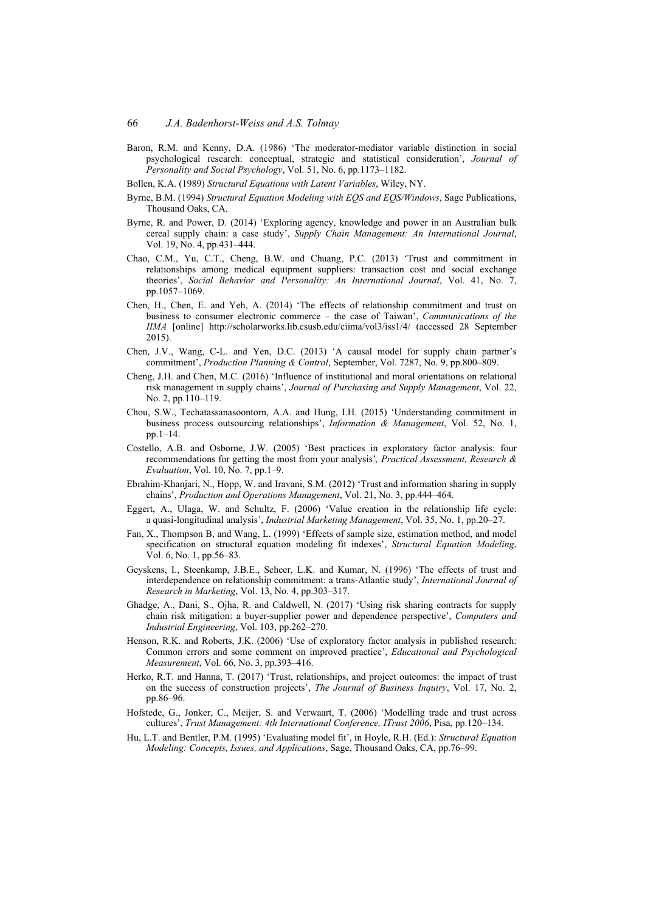- Baron, R.M. and Kenny, D.A. (1986) 'The moderator-mediator variable distinction in social psychological research: conceptual, strategic and statistical consideration', *Journal of Personality and Social Psychology*, Vol. 51, No. 6, pp.1173–1182.
- Bollen, K.A. (1989) *Structural Equations with Latent Variables*, Wiley, NY.
- Byrne, B.M. (1994) *Structural Equation Modeling with EQS and EQS/Windows*, Sage Publications, Thousand Oaks, CA.
- Byrne, R. and Power, D. (2014) 'Exploring agency, knowledge and power in an Australian bulk cereal supply chain: a case study', *Supply Chain Management: An International Journal*, Vol. 19, No. 4, pp.431–444.
- Chao, C.M., Yu, C.T., Cheng, B.W. and Chuang, P.C. (2013) 'Trust and commitment in relationships among medical equipment suppliers: transaction cost and social exchange theories', *Social Behavior and Personality: An International Journal*, Vol. 41, No. 7, pp.1057–1069.
- Chen, H., Chen, E. and Yeh, A. (2014) 'The effects of relationship commitment and trust on business to consumer electronic commerce – the case of Taiwan', *Communications of the IIMA* [online] http://scholarworks.lib.csusb.edu/ciima/vol3/iss1/4/ (accessed 28 September 2015).
- Chen, J.V., Wang, C-L. and Yen, D.C. (2013) 'A causal model for supply chain partner's commitment', *Production Planning & Control*, September, Vol. 7287, No. 9, pp.800–809.
- Cheng, J.H. and Chen, M.C. (2016) 'Influence of institutional and moral orientations on relational risk management in supply chains', *Journal of Purchasing and Supply Management*, Vol. 22, No. 2, pp.110–119.
- Chou, S.W., Techatassanasoontorn, A.A. and Hung, I.H. (2015) 'Understanding commitment in business process outsourcing relationships', *Information & Management*, Vol. 52, No. 1, pp.1–14.
- Costello, A.B. and Osborne, J.W. (2005) 'Best practices in exploratory factor analysis: four recommendations for getting the most from your analysis'*, Practical Assessment, Research & Evaluation*, Vol. 10, No. 7, pp.1–9.
- Ebrahim-Khanjari, N., Hopp, W. and Iravani, S.M. (2012) 'Trust and information sharing in supply chains', *Production and Operations Management*, Vol. 21, No. 3, pp.444–464.
- Eggert, A., Ulaga, W. and Schultz, F. (2006) 'Value creation in the relationship life cycle: a quasi-longitudinal analysis', *Industrial Marketing Management*, Vol. 35, No. 1, pp.20–27.
- Fan, X., Thompson B, and Wang, L. (1999) 'Effects of sample size, estimation method, and model specification on structural equation modeling fit indexes', *Structural Equation Modeling*, Vol. 6, No. 1, pp.56–83.
- Geyskens, I., Steenkamp, J.B.E., Scheer, L.K. and Kumar, N. (1996) 'The effects of trust and interdependence on relationship commitment: a trans-Atlantic study', *International Journal of Research in Marketing*, Vol. 13, No. 4, pp.303–317.
- Ghadge, A., Dani, S., Ojha, R. and Caldwell, N. (2017) 'Using risk sharing contracts for supply chain risk mitigation: a buyer-supplier power and dependence perspective', *Computers and Industrial Engineering*, Vol. 103, pp.262–270.
- Henson, R.K. and Roberts, J.K. (2006) 'Use of exploratory factor analysis in published research: Common errors and some comment on improved practice', *Educational and Psychological Measurement*, Vol. 66, No. 3, pp.393–416.
- Herko, R.T. and Hanna, T. (2017) 'Trust, relationships, and project outcomes: the impact of trust on the success of construction projects', *The Journal of Business Inquiry*, Vol. 17, No. 2, pp.86–96.
- Hofstede, G., Jonker, C., Meijer, S. and Verwaart, T. (2006) 'Modelling trade and trust across cultures', *Trust Management: 4th International Conference, ITrust 2006*, Pisa, pp.120–134.
- Hu, L.T. and Bentler, P.M. (1995) 'Evaluating model fit', in Hoyle, R.H. (Ed.): *Structural Equation Modeling: Concepts, Issues, and Applications*, Sage, Thousand Oaks, CA, pp.76–99.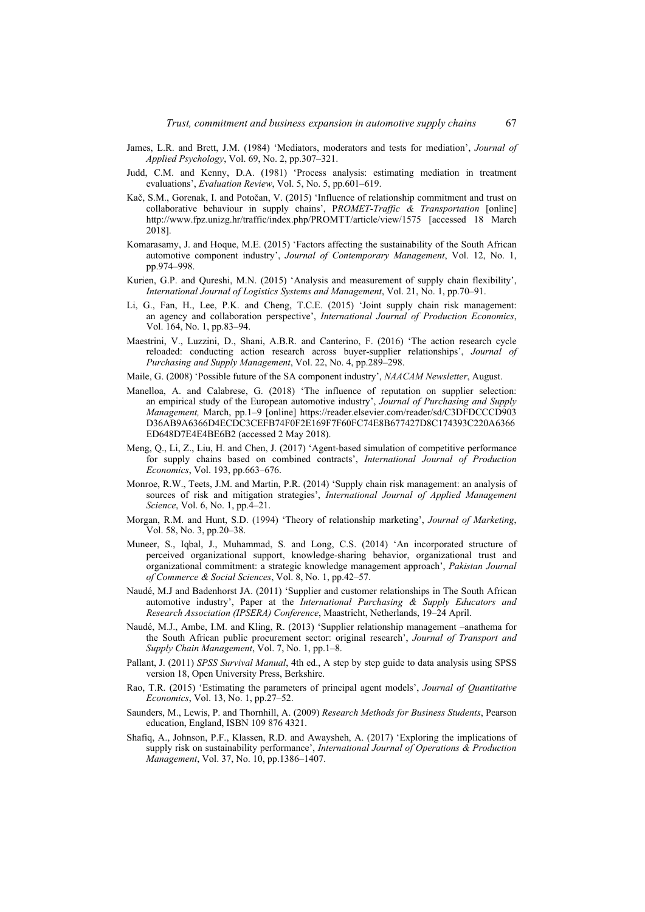- James, L.R. and Brett, J.M. (1984) 'Mediators, moderators and tests for mediation', *Journal of Applied Psychology*, Vol. 69, No. 2, pp.307–321.
- Judd, C.M. and Kenny, D.A. (1981) 'Process analysis: estimating mediation in treatment evaluations', *Evaluation Review*, Vol. 5, No. 5, pp.601–619.
- Kač, S.M., Gorenak, I. and Potočan, V. (2015) 'Influence of relationship commitment and trust on collaborative behaviour in supply chains', P*ROMET-Traffic & Transportation* [online] http://www.fpz.unizg.hr/traffic/index.php/PROMTT/article/view/1575 [accessed 18 March 2018].
- Komarasamy, J. and Hoque, M.E. (2015) 'Factors affecting the sustainability of the South African automotive component industry', *Journal of Contemporary Management*, Vol. 12, No. 1, pp.974–998.
- Kurien, G.P. and Qureshi, M.N. (2015) 'Analysis and measurement of supply chain flexibility', *International Journal of Logistics Systems and Management*, Vol. 21, No. 1, pp.70–91.
- Li, G., Fan, H., Lee, P.K. and Cheng, T.C.E. (2015) 'Joint supply chain risk management: an agency and collaboration perspective', *International Journal of Production Economics*, Vol. 164, No. 1, pp.83–94.
- Maestrini, V., Luzzini, D., Shani, A.B.R. and Canterino, F. (2016) 'The action research cycle reloaded: conducting action research across buyer-supplier relationships', *Journal of Purchasing and Supply Management*, Vol. 22, No. 4, pp.289–298.
- Maile, G. (2008) 'Possible future of the SA component industry', *NAACAM Newsletter*, August.
- Manelloa, A. and Calabrese, G. (2018) 'The influence of reputation on supplier selection: an empirical study of the European automotive industry', *Journal of Purchasing and Supply Management,* March, pp.1–9 [online] https://reader.elsevier.com/reader/sd/C3DFDCCCD903 D36AB9A6366D4ECDC3CEFB74F0F2E169F7F60FC74E8B677427D8C174393C220A6366 ED648D7E4E4BE6B2 (accessed 2 May 2018).
- Meng, Q., Li, Z., Liu, H. and Chen, J. (2017) 'Agent-based simulation of competitive performance for supply chains based on combined contracts', *International Journal of Production Economics*, Vol. 193, pp.663–676.
- Monroe, R.W., Teets, J.M. and Martin, P.R. (2014) 'Supply chain risk management: an analysis of sources of risk and mitigation strategies', *International Journal of Applied Management Science*, Vol. 6, No. 1, pp.4–21.
- Morgan, R.M. and Hunt, S.D. (1994) 'Theory of relationship marketing', *Journal of Marketing*, Vol. 58, No. 3, pp.20–38.
- Muneer, S., Iqbal, J., Muhammad, S. and Long, C.S. (2014) 'An incorporated structure of perceived organizational support, knowledge-sharing behavior, organizational trust and organizational commitment: a strategic knowledge management approach', *Pakistan Journal of Commerce & Social Sciences*, Vol. 8, No. 1, pp.42–57.
- Naudé, M.J and Badenhorst JA. (2011) 'Supplier and customer relationships in The South African automotive industry', Paper at the *International Purchasing & Supply Educators and Research Association (IPSERA) Conference*, Maastricht, Netherlands, 19–24 April.
- Naudé, M.J., Ambe, I.M. and Kling, R. (2013) 'Supplier relationship management –anathema for the South African public procurement sector: original research', *Journal of Transport and Supply Chain Management*, Vol. 7, No. 1, pp.1–8.
- Pallant, J. (2011) *SPSS Survival Manual*, 4th ed., A step by step guide to data analysis using SPSS version 18, Open University Press, Berkshire.
- Rao, T.R. (2015) 'Estimating the parameters of principal agent models', *Journal of Quantitative Economics*, Vol. 13, No. 1, pp.27–52.
- Saunders, M., Lewis, P. and Thornhill, A. (2009) *Research Methods for Business Students*, Pearson education, England, ISBN 109 876 4321.
- Shafiq, A., Johnson, P.F., Klassen, R.D. and Awaysheh, A. (2017) 'Exploring the implications of supply risk on sustainability performance', *International Journal of Operations & Production Management*, Vol. 37, No. 10, pp.1386–1407.